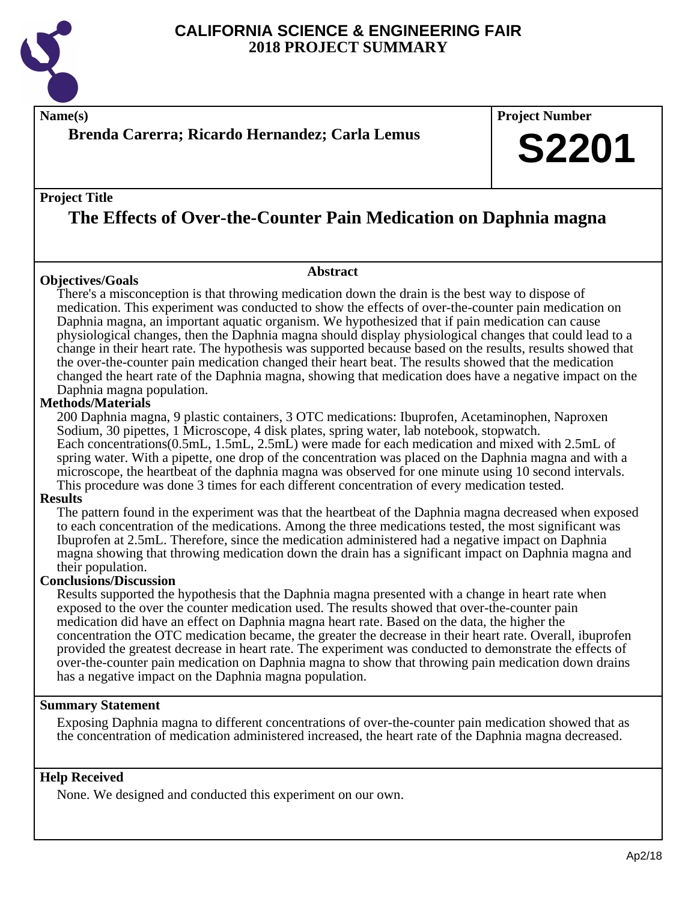

**Name(s) Project Number**

# **Brenda Carerra; Ricardo Hernandez; Carla Lemus**

## **Project Title**

# **The Effects of Over-the-Counter Pain Medication on Daphnia magna**

## **Objectives/Goals**

**Abstract**

There's a misconception is that throwing medication down the drain is the best way to dispose of medication. This experiment was conducted to show the effects of over-the-counter pain medication on Daphnia magna, an important aquatic organism. We hypothesized that if pain medication can cause physiological changes, then the Daphnia magna should display physiological changes that could lead to a change in their heart rate. The hypothesis was supported because based on the results, results showed that the over-the-counter pain medication changed their heart beat. The results showed that the medication changed the heart rate of the Daphnia magna, showing that medication does have a negative impact on the Daphnia magna population.

# **Methods/Materials**

200 Daphnia magna, 9 plastic containers, 3 OTC medications: Ibuprofen, Acetaminophen, Naproxen Sodium, 30 pipettes, 1 Microscope, 4 disk plates, spring water, lab notebook, stopwatch. Each concentrations(0.5mL, 1.5mL, 2.5mL) were made for each medication and mixed with 2.5mL of spring water. With a pipette, one drop of the concentration was placed on the Daphnia magna and with a microscope, the heartbeat of the daphnia magna was observed for one minute using 10 second intervals. This procedure was done 3 times for each different concentration of every medication tested.

## **Results**

The pattern found in the experiment was that the heartbeat of the Daphnia magna decreased when exposed to each concentration of the medications. Among the three medications tested, the most significant was Ibuprofen at 2.5mL. Therefore, since the medication administered had a negative impact on Daphnia magna showing that throwing medication down the drain has a significant impact on Daphnia magna and their population.

## **Conclusions/Discussion**

Results supported the hypothesis that the Daphnia magna presented with a change in heart rate when exposed to the over the counter medication used. The results showed that over-the-counter pain medication did have an effect on Daphnia magna heart rate. Based on the data, the higher the concentration the OTC medication became, the greater the decrease in their heart rate. Overall, ibuprofen provided the greatest decrease in heart rate. The experiment was conducted to demonstrate the effects of over-the-counter pain medication on Daphnia magna to show that throwing pain medication down drains has a negative impact on the Daphnia magna population.

## **Summary Statement**

Exposing Daphnia magna to different concentrations of over-the-counter pain medication showed that as the concentration of medication administered increased, the heart rate of the Daphnia magna decreased.

## **Help Received**

None. We designed and conducted this experiment on our own.

**S2201**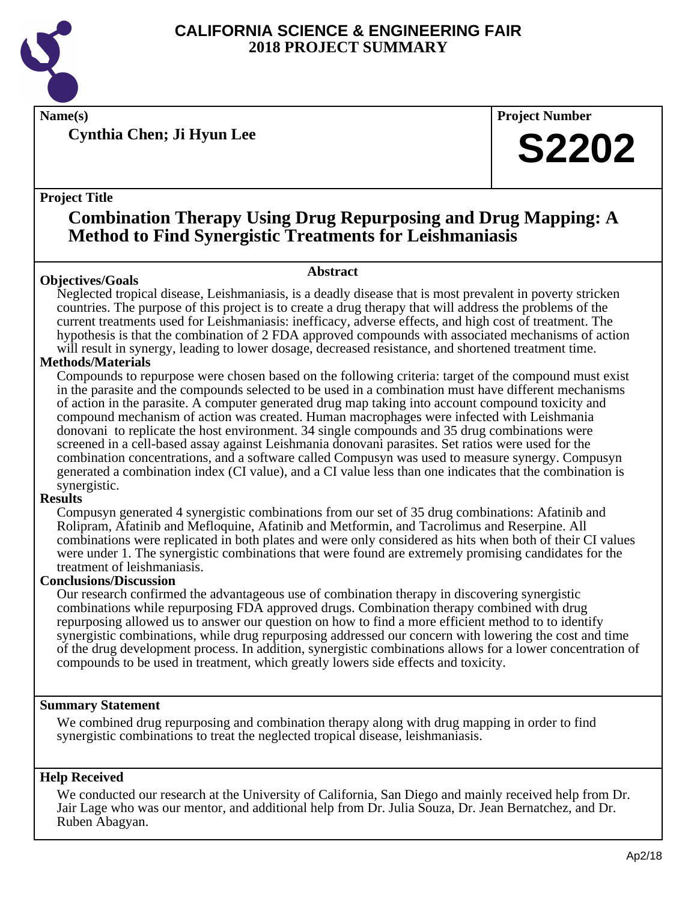

**Cynthia Chen; Ji Hyun Lee**

**Name(s) Project Number**

# **S2202**

# **Project Title**

# **Combination Therapy Using Drug Repurposing and Drug Mapping: A Method to Find Synergistic Treatments for Leishmaniasis**

# **Objectives/Goals**

**Abstract**

Neglected tropical disease, Leishmaniasis, is a deadly disease that is most prevalent in poverty stricken countries. The purpose of this project is to create a drug therapy that will address the problems of the current treatments used for Leishmaniasis: inefficacy, adverse effects, and high cost of treatment. The hypothesis is that the combination of 2 FDA approved compounds with associated mechanisms of action will result in synergy, leading to lower dosage, decreased resistance, and shortened treatment time.

# **Methods/Materials**

Compounds to repurpose were chosen based on the following criteria: target of the compound must exist in the parasite and the compounds selected to be used in a combination must have different mechanisms of action in the parasite. A computer generated drug map taking into account compound toxicity and compound mechanism of action was created. Human macrophages were infected with Leishmania donovani to replicate the host environment. 34 single compounds and 35 drug combinations were screened in a cell-based assay against Leishmania donovani parasites. Set ratios were used for the combination concentrations, and a software called Compusyn was used to measure synergy. Compusyn generated a combination index (CI value), and a CI value less than one indicates that the combination is synergistic.

# **Results**

Compusyn generated 4 synergistic combinations from our set of 35 drug combinations: Afatinib and Rolipram, Afatinib and Mefloquine, Afatinib and Metformin, and Tacrolimus and Reserpine. All combinations were replicated in both plates and were only considered as hits when both of their CI values were under 1. The synergistic combinations that were found are extremely promising candidates for the treatment of leishmaniasis.

# **Conclusions/Discussion**

Our research confirmed the advantageous use of combination therapy in discovering synergistic combinations while repurposing FDA approved drugs. Combination therapy combined with drug repurposing allowed us to answer our question on how to find a more efficient method to to identify synergistic combinations, while drug repurposing addressed our concern with lowering the cost and time of the drug development process. In addition, synergistic combinations allows for a lower concentration of compounds to be used in treatment, which greatly lowers side effects and toxicity.

# **Summary Statement**

We combined drug repurposing and combination therapy along with drug mapping in order to find synergistic combinations to treat the neglected tropical disease, leishmaniasis.

# **Help Received**

We conducted our research at the University of California, San Diego and mainly received help from Dr. Jair Lage who was our mentor, and additional help from Dr. Julia Souza, Dr. Jean Bernatchez, and Dr. Ruben Abagyan.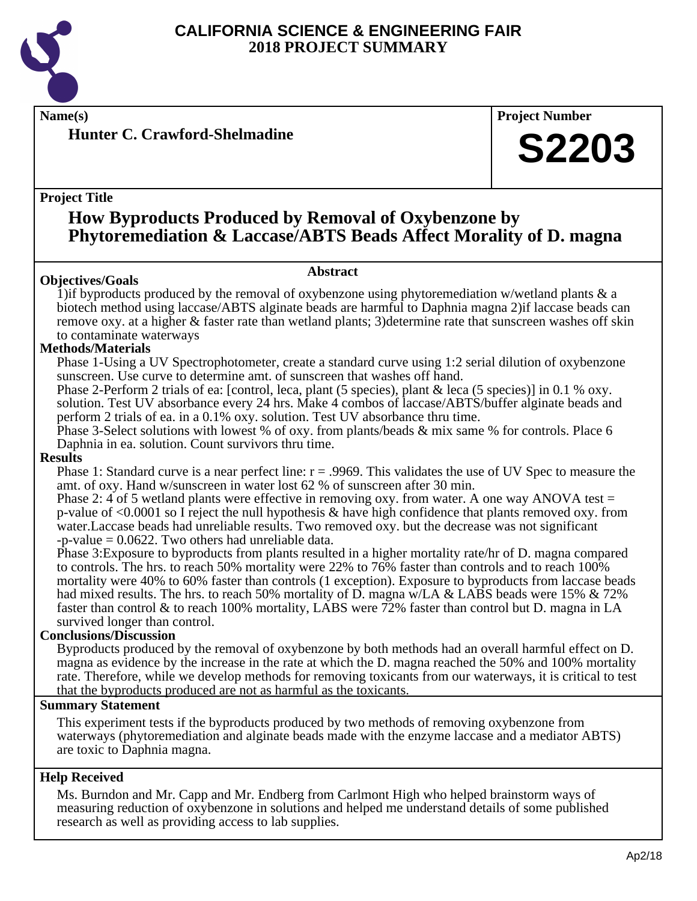

**Hunter C. Crawford-Shelmadine**

# **Name(s) Project Number**

# **S2203**

# **Project Title**

# **How Byproducts Produced by Removal of Oxybenzone by Phytoremediation & Laccase/ABTS Beads Affect Morality of D. magna**

#### **Abstract**

**Objectives/Goals** 1) if byproducts produced by the removal of oxybenzone using phytoremediation w/wetland plants  $\&$  a biotech method using laccase/ABTS alginate beads are harmful to Daphnia magna 2)if laccase beads can remove oxy. at a higher & faster rate than wetland plants; 3)determine rate that sunscreen washes off skin to contaminate waterways

## **Methods/Materials**

Phase 1-Using a UV Spectrophotometer, create a standard curve using 1:2 serial dilution of oxybenzone sunscreen. Use curve to determine amt. of sunscreen that washes off hand.

Phase 2-Perform 2 trials of ea: [control, leca, plant (5 species), plant & leca (5 species)] in 0.1 % oxy. solution. Test UV absorbance every 24 hrs. Make 4 combos of laccase/ABTS/buffer alginate beads and perform 2 trials of ea. in a 0.1% oxy. solution. Test UV absorbance thru time.

Phase 3-Select solutions with lowest % of oxy. from plants/beads & mix same % for controls. Place 6 Daphnia in ea. solution. Count survivors thru time.

## **Results**

Phase 1: Standard curve is a near perfect line: r = .9969. This validates the use of UV Spec to measure the amt. of oxy. Hand w/sunscreen in water lost 62 % of sunscreen after 30 min.

Phase 2: 4 of 5 wetland plants were effective in removing oxy. from water. A one way ANOVA test = p-value of <0.0001 so I reject the null hypothesis & have high confidence that plants removed oxy. from water.Laccase beads had unreliable results. Two removed oxy. but the decrease was not significant  $-p$ -value  $= 0.0622$ . Two others had unreliable data.

Phase 3:Exposure to byproducts from plants resulted in a higher mortality rate/hr of D. magna compared to controls. The hrs. to reach 50% mortality were 22% to 76% faster than controls and to reach 100% mortality were 40% to 60% faster than controls (1 exception). Exposure to byproducts from laccase beads had mixed results. The hrs. to reach 50% mortality of D. magna w/LA & LABS beads were 15% & 72% faster than control & to reach 100% mortality, LABS were 72% faster than control but D. magna in LA survived longer than control.

## **Conclusions/Discussion**

Byproducts produced by the removal of oxybenzone by both methods had an overall harmful effect on D. magna as evidence by the increase in the rate at which the D. magna reached the 50% and 100% mortality rate. Therefore, while we develop methods for removing toxicants from our waterways, it is critical to test that the byproducts produced are not as harmful as the toxicants.

## **Summary Statement**

This experiment tests if the byproducts produced by two methods of removing oxybenzone from waterways (phytoremediation and alginate beads made with the enzyme laccase and a mediator ABTS) are toxic to Daphnia magna.

# **Help Received**

Ms. Burndon and Mr. Capp and Mr. Endberg from Carlmont High who helped brainstorm ways of measuring reduction of oxybenzone in solutions and helped me understand details of some published research as well as providing access to lab supplies.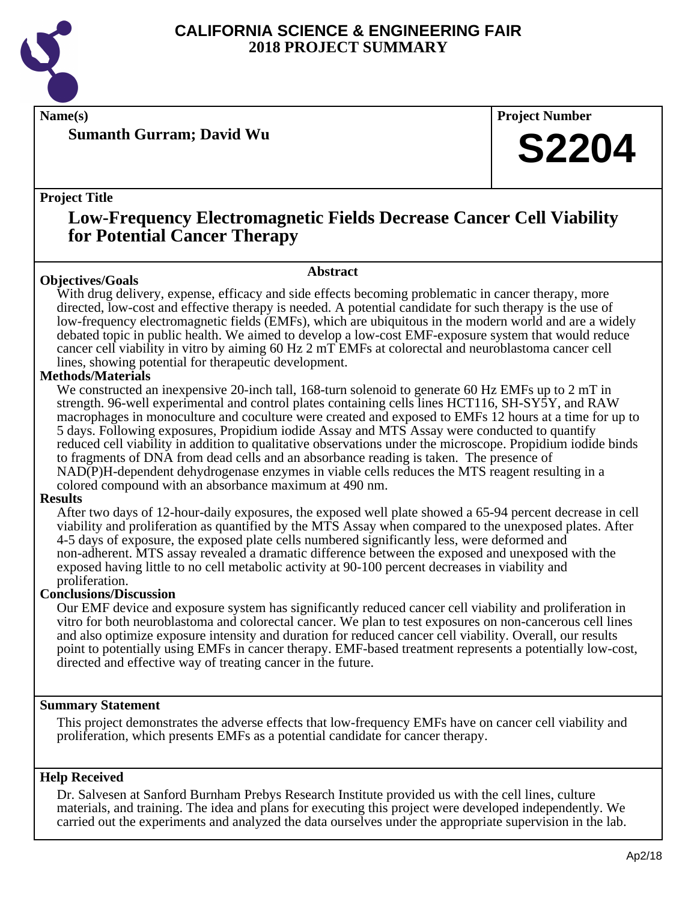

**Sumanth Gurram; David Wu**

**Name(s) Project Number**

# **S2204**

# **Project Title**

# **Low-Frequency Electromagnetic Fields Decrease Cancer Cell Viability for Potential Cancer Therapy**

#### **Abstract**

**Objectives/Goals** With drug delivery, expense, efficacy and side effects becoming problematic in cancer therapy, more directed, low-cost and effective therapy is needed. A potential candidate for such therapy is the use of low-frequency electromagnetic fields (EMFs), which are ubiquitous in the modern world and are a widely debated topic in public health. We aimed to develop a low-cost EMF-exposure system that would reduce cancer cell viability in vitro by aiming 60 Hz 2 mT EMFs at colorectal and neuroblastoma cancer cell lines, showing potential for therapeutic development.

# **Methods/Materials**

We constructed an inexpensive 20-inch tall, 168-turn solenoid to generate 60 Hz EMFs up to 2 mT in strength. 96-well experimental and control plates containing cells lines HCT116, SH-SY5Y, and RAW macrophages in monoculture and coculture were created and exposed to EMFs 12 hours at a time for up to 5 days. Following exposures, Propidium iodide Assay and MTS Assay were conducted to quantify reduced cell viability in addition to qualitative observations under the microscope. Propidium iodide binds to fragments of DNA from dead cells and an absorbance reading is taken. The presence of NAD(P)H-dependent dehydrogenase enzymes in viable cells reduces the MTS reagent resulting in a colored compound with an absorbance maximum at 490 nm.

## **Results**

After two days of 12-hour-daily exposures, the exposed well plate showed a 65-94 percent decrease in cell viability and proliferation as quantified by the MTS Assay when compared to the unexposed plates. After 4-5 days of exposure, the exposed plate cells numbered significantly less, were deformed and non-adherent. MTS assay revealed a dramatic difference between the exposed and unexposed with the exposed having little to no cell metabolic activity at 90-100 percent decreases in viability and proliferation.

## **Conclusions/Discussion**

Our EMF device and exposure system has significantly reduced cancer cell viability and proliferation in vitro for both neuroblastoma and colorectal cancer. We plan to test exposures on non-cancerous cell lines and also optimize exposure intensity and duration for reduced cancer cell viability. Overall, our results point to potentially using EMFs in cancer therapy. EMF-based treatment represents a potentially low-cost, directed and effective way of treating cancer in the future.

## **Summary Statement**

This project demonstrates the adverse effects that low-frequency EMFs have on cancer cell viability and proliferation, which presents EMFs as a potential candidate for cancer therapy.

## **Help Received**

Dr. Salvesen at Sanford Burnham Prebys Research Institute provided us with the cell lines, culture materials, and training. The idea and plans for executing this project were developed independently. We carried out the experiments and analyzed the data ourselves under the appropriate supervision in the lab.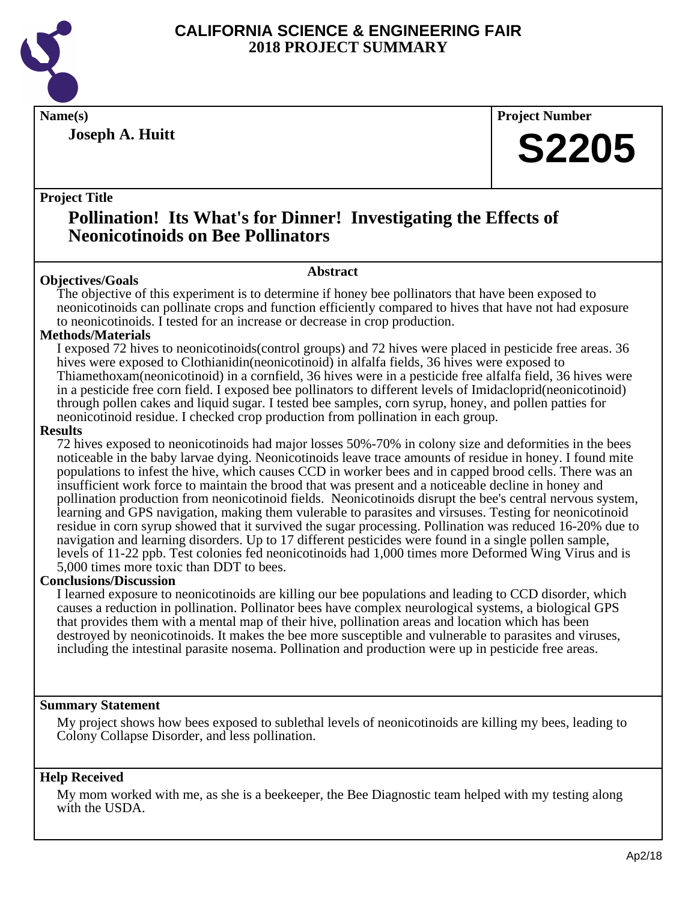

**Joseph A. Huitt**

**Name(s) Project Number**

# **S2205**

# **Project Title**

# **Pollination! Its What's for Dinner! Investigating the Effects of Neonicotinoids on Bee Pollinators**

# **Abstract**

**Objectives/Goals** The objective of this experiment is to determine if honey bee pollinators that have been exposed to neonicotinoids can pollinate crops and function efficiently compared to hives that have not had exposure to neonicotinoids. I tested for an increase or decrease in crop production.

# **Methods/Materials**

I exposed 72 hives to neonicotinoids(control groups) and 72 hives were placed in pesticide free areas. 36 hives were exposed to Clothianidin(neonicotinoid) in alfalfa fields, 36 hives were exposed to Thiamethoxam(neonicotinoid) in a cornfield, 36 hives were in a pesticide free alfalfa field, 36 hives were in a pesticide free corn field. I exposed bee pollinators to different levels of Imidacloprid(neonicotinoid) through pollen cakes and liquid sugar. I tested bee samples, corn syrup, honey, and pollen patties for neonicotinoid residue. I checked crop production from pollination in each group.

## **Results**

72 hives exposed to neonicotinoids had major losses 50%-70% in colony size and deformities in the bees noticeable in the baby larvae dying. Neonicotinoids leave trace amounts of residue in honey. I found mite populations to infest the hive, which causes CCD in worker bees and in capped brood cells. There was an insufficient work force to maintain the brood that was present and a noticeable decline in honey and pollination production from neonicotinoid fields. Neonicotinoids disrupt the bee's central nervous system, learning and GPS navigation, making them vulerable to parasites and virsuses. Testing for neonicotinoid residue in corn syrup showed that it survived the sugar processing. Pollination was reduced 16-20% due to navigation and learning disorders. Up to 17 different pesticides were found in a single pollen sample, levels of 11-22 ppb. Test colonies fed neonicotinoids had 1,000 times more Deformed Wing Virus and is 5,000 times more toxic than DDT to bees.

## **Conclusions/Discussion**

I learned exposure to neonicotinoids are killing our bee populations and leading to CCD disorder, which causes a reduction in pollination. Pollinator bees have complex neurological systems, a biological GPS that provides them with a mental map of their hive, pollination areas and location which has been destroyed by neonicotinoids. It makes the bee more susceptible and vulnerable to parasites and viruses, including the intestinal parasite nosema. Pollination and production were up in pesticide free areas.

# **Summary Statement**

My project shows how bees exposed to sublethal levels of neonicotinoids are killing my bees, leading to Colony Collapse Disorder, and less pollination.

# **Help Received**

My mom worked with me, as she is a beekeeper, the Bee Diagnostic team helped with my testing along with the USDA.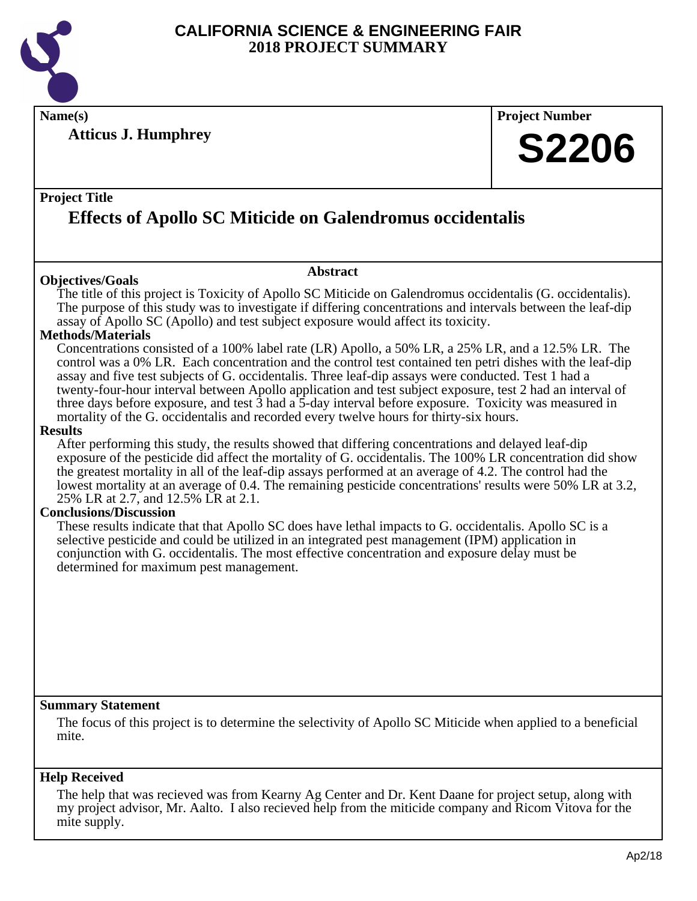

**Name(s) Project Number**

**Atticus J. Humphrey**

# **S2206**

# **Project Title**

# **Effects of Apollo SC Miticide on Galendromus occidentalis**

# **Objectives/Goals**

The title of this project is Toxicity of Apollo SC Miticide on Galendromus occidentalis (G. occidentalis). The purpose of this study was to investigate if differing concentrations and intervals between the leaf-dip assay of Apollo SC (Apollo) and test subject exposure would affect its toxicity.

**Abstract**

## **Methods/Materials**

Concentrations consisted of a 100% label rate (LR) Apollo, a 50% LR, a 25% LR, and a 12.5% LR. The control was a 0% LR. Each concentration and the control test contained ten petri dishes with the leaf-dip assay and five test subjects of G. occidentalis. Three leaf-dip assays were conducted. Test 1 had a twenty-four-hour interval between Apollo application and test subject exposure, test 2 had an interval of three days before exposure, and test  $\bar{3}$  had a  $\bar{5}$ -day interval before exposure. Toxicity was measured in mortality of the G. occidentalis and recorded every twelve hours for thirty-six hours.

#### **Results**

After performing this study, the results showed that differing concentrations and delayed leaf-dip exposure of the pesticide did affect the mortality of G. occidentalis. The 100% LR concentration did show the greatest mortality in all of the leaf-dip assays performed at an average of 4.2. The control had the lowest mortality at an average of 0.4. The remaining pesticide concentrations' results were 50% LR at 3.2, 25% LR at 2.7, and 12.5% LR at 2.1.

## **Conclusions/Discussion**

These results indicate that that Apollo SC does have lethal impacts to G. occidentalis. Apollo SC is a selective pesticide and could be utilized in an integrated pest management (IPM) application in conjunction with G. occidentalis. The most effective concentration and exposure delay must be determined for maximum pest management.

## **Summary Statement**

The focus of this project is to determine the selectivity of Apollo SC Miticide when applied to a beneficial mite.

## **Help Received**

The help that was recieved was from Kearny Ag Center and Dr. Kent Daane for project setup, along with my project advisor, Mr. Aalto. I also recieved help from the miticide company and Ricom Vitova for the mite supply.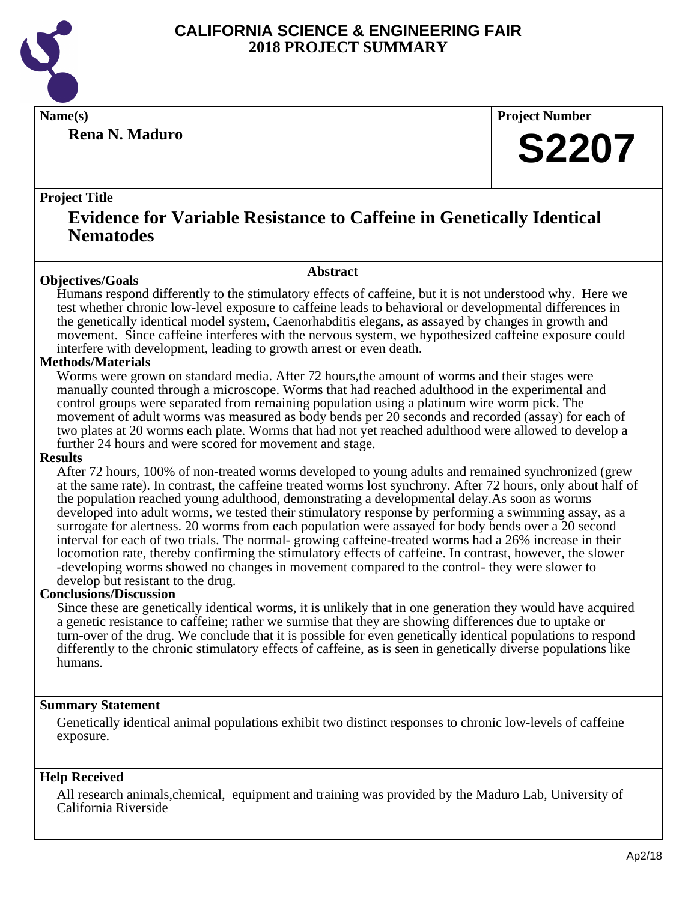

**Rena N. Maduro**

**Name(s) Project Number**

# **S2207**

# **Project Title**

# **Evidence for Variable Resistance to Caffeine in Genetically Identical Nematodes**

## **Abstract**

**Objectives/Goals** Humans respond differently to the stimulatory effects of caffeine, but it is not understood why. Here we test whether chronic low-level exposure to caffeine leads to behavioral or developmental differences in the genetically identical model system, Caenorhabditis elegans, as assayed by changes in growth and movement. Since caffeine interferes with the nervous system, we hypothesized caffeine exposure could interfere with development, leading to growth arrest or even death.

# **Methods/Materials**

Worms were grown on standard media. After 72 hours,the amount of worms and their stages were manually counted through a microscope. Worms that had reached adulthood in the experimental and control groups were separated from remaining population using a platinum wire worm pick. The movement of adult worms was measured as body bends per 20 seconds and recorded (assay) for each of two plates at 20 worms each plate. Worms that had not yet reached adulthood were allowed to develop a further 24 hours and were scored for movement and stage.

## **Results**

After 72 hours, 100% of non-treated worms developed to young adults and remained synchronized (grew at the same rate). In contrast, the caffeine treated worms lost synchrony. After 72 hours, only about half of the population reached young adulthood, demonstrating a developmental delay.As soon as worms developed into adult worms, we tested their stimulatory response by performing a swimming assay, as a surrogate for alertness. 20 worms from each population were assayed for body bends over a 20 second interval for each of two trials. The normal- growing caffeine-treated worms had a 26% increase in their locomotion rate, thereby confirming the stimulatory effects of caffeine. In contrast, however, the slower -developing worms showed no changes in movement compared to the control- they were slower to develop but resistant to the drug.

## **Conclusions/Discussion**

Since these are genetically identical worms, it is unlikely that in one generation they would have acquired a genetic resistance to caffeine; rather we surmise that they are showing differences due to uptake or turn-over of the drug. We conclude that it is possible for even genetically identical populations to respond differently to the chronic stimulatory effects of caffeine, as is seen in genetically diverse populations like humans.

## **Summary Statement**

Genetically identical animal populations exhibit two distinct responses to chronic low-levels of caffeine exposure.

# **Help Received**

All research animals,chemical, equipment and training was provided by the Maduro Lab, University of California Riverside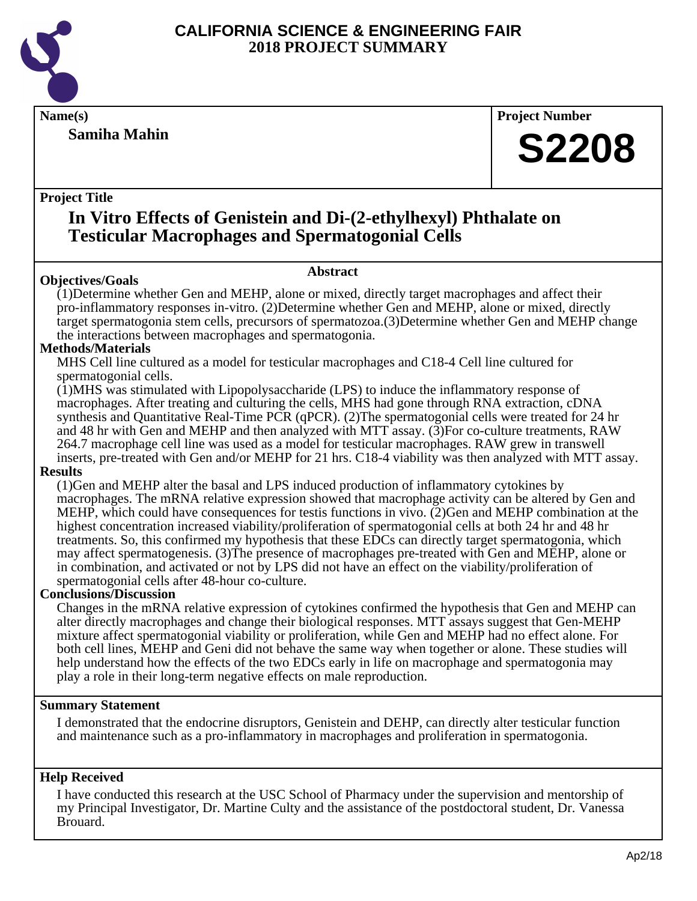

**Samiha Mahin**

**Name(s) Project Number**

# **S2208**

# **Project Title**

# **In Vitro Effects of Genistein and Di-(2-ethylhexyl) Phthalate on Testicular Macrophages and Spermatogonial Cells**

**Abstract**

# **Objectives/Goals**

(1)Determine whether Gen and MEHP, alone or mixed, directly target macrophages and affect their pro-inflammatory responses in-vitro. (2)Determine whether Gen and MEHP, alone or mixed, directly target spermatogonia stem cells, precursors of spermatozoa.(3)Determine whether Gen and MEHP change the interactions between macrophages and spermatogonia.

# **Methods/Materials**

MHS Cell line cultured as a model for testicular macrophages and C18-4 Cell line cultured for spermatogonial cells.

(1)MHS was stimulated with Lipopolysaccharide (LPS) to induce the inflammatory response of macrophages. After treating and culturing the cells, MHS had gone through RNA extraction, cDNA synthesis and Quantitative Real-Time PCR (qPCR). (2)The spermatogonial cells were treated for 24 hr and 48 hr with Gen and MEHP and then analyzed with MTT assay. (3)For co-culture treatments, RAW 264.7 macrophage cell line was used as a model for testicular macrophages. RAW grew in transwell inserts, pre-treated with Gen and/or MEHP for 21 hrs. C18-4 viability was then analyzed with MTT assay.

# **Results**

(1)Gen and MEHP alter the basal and LPS induced production of inflammatory cytokines by macrophages. The mRNA relative expression showed that macrophage activity can be altered by Gen and MEHP, which could have consequences for testis functions in vivo. (2)Gen and MEHP combination at the highest concentration increased viability/proliferation of spermatogonial cells at both 24 hr and 48 hr treatments. So, this confirmed my hypothesis that these EDCs can directly target spermatogonia, which may affect spermatogenesis. (3)The presence of macrophages pre-treated with Gen and MEHP, alone or in combination, and activated or not by LPS did not have an effect on the viability/proliferation of spermatogonial cells after 48-hour co-culture.

# **Conclusions/Discussion**

Changes in the mRNA relative expression of cytokines confirmed the hypothesis that Gen and MEHP can alter directly macrophages and change their biological responses. MTT assays suggest that Gen-MEHP mixture affect spermatogonial viability or proliferation, while Gen and MEHP had no effect alone. For both cell lines, MEHP and Geni did not behave the same way when together or alone. These studies will help understand how the effects of the two EDCs early in life on macrophage and spermatogonia may play a role in their long-term negative effects on male reproduction.

# **Summary Statement**

I demonstrated that the endocrine disruptors, Genistein and DEHP, can directly alter testicular function and maintenance such as a pro-inflammatory in macrophages and proliferation in spermatogonia.

# **Help Received**

I have conducted this research at the USC School of Pharmacy under the supervision and mentorship of my Principal Investigator, Dr. Martine Culty and the assistance of the postdoctoral student, Dr. Vanessa Brouard.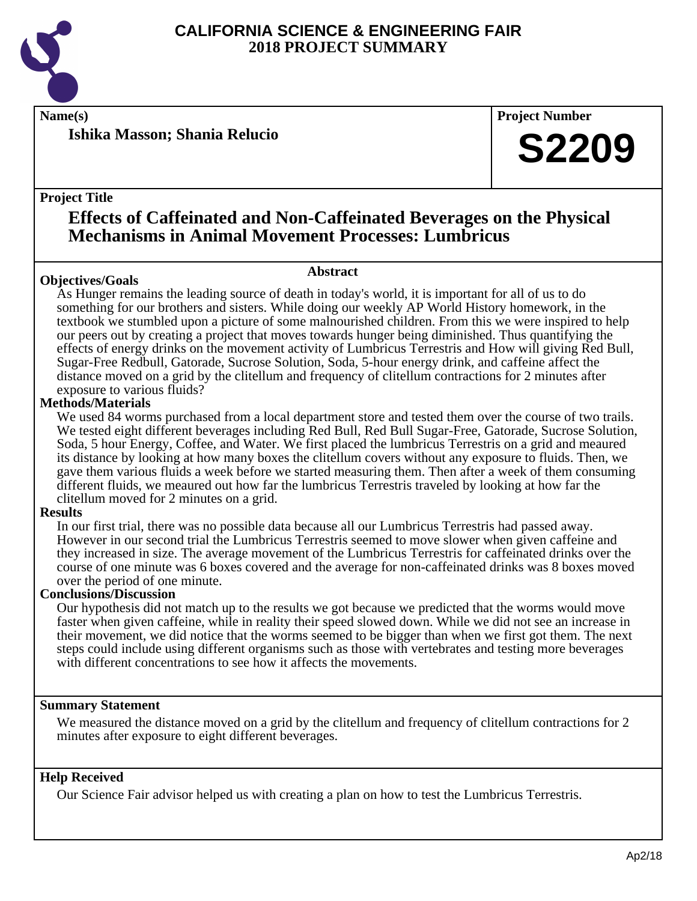

**Name(s) Project Number**

**Ishika Masson; Shania Relucio**

**Project Title**

# **Effects of Caffeinated and Non-Caffeinated Beverages on the Physical Mechanisms in Animal Movement Processes: Lumbricus**

# **Abstract**

**Objectives/Goals** As Hunger remains the leading source of death in today's world, it is important for all of us to do something for our brothers and sisters. While doing our weekly AP World History homework, in the textbook we stumbled upon a picture of some malnourished children. From this we were inspired to help our peers out by creating a project that moves towards hunger being diminished. Thus quantifying the effects of energy drinks on the movement activity of Lumbricus Terrestris and How will giving Red Bull, Sugar-Free Redbull, Gatorade, Sucrose Solution, Soda, 5-hour energy drink, and caffeine affect the distance moved on a grid by the clitellum and frequency of clitellum contractions for 2 minutes after exposure to various fluids?

# **Methods/Materials**

We used 84 worms purchased from a local department store and tested them over the course of two trails. We tested eight different beverages including Red Bull, Red Bull Sugar-Free, Gatorade, Sucrose Solution, Soda, 5 hour Energy, Coffee, and Water. We first placed the lumbricus Terrestris on a grid and meaured its distance by looking at how many boxes the clitellum covers without any exposure to fluids. Then, we gave them various fluids a week before we started measuring them. Then after a week of them consuming different fluids, we meaured out how far the lumbricus Terrestris traveled by looking at how far the clitellum moved for 2 minutes on a grid.

## **Results**

In our first trial, there was no possible data because all our Lumbricus Terrestris had passed away. However in our second trial the Lumbricus Terrestris seemed to move slower when given caffeine and they increased in size. The average movement of the Lumbricus Terrestris for caffeinated drinks over the course of one minute was 6 boxes covered and the average for non-caffeinated drinks was 8 boxes moved over the period of one minute.

## **Conclusions/Discussion**

Our hypothesis did not match up to the results we got because we predicted that the worms would move faster when given caffeine, while in reality their speed slowed down. While we did not see an increase in their movement, we did notice that the worms seemed to be bigger than when we first got them. The next steps could include using different organisms such as those with vertebrates and testing more beverages with different concentrations to see how it affects the movements.

# **Summary Statement**

We measured the distance moved on a grid by the clitellum and frequency of clitellum contractions for 2 minutes after exposure to eight different beverages.

# **Help Received**

Our Science Fair advisor helped us with creating a plan on how to test the Lumbricus Terrestris.

**S2209**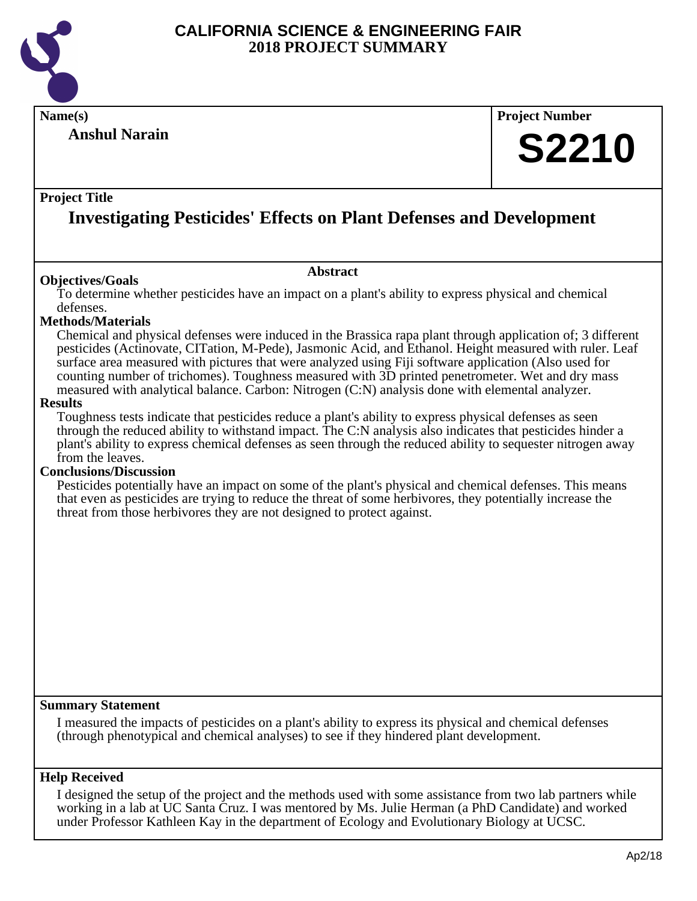

**Anshul Narain**

# **Name(s) Project Number S2210**

# **Project Title**

# **Investigating Pesticides' Effects on Plant Defenses and Development**

## **Objectives/Goals**

To determine whether pesticides have an impact on a plant's ability to express physical and chemical defenses.

**Abstract**

#### **Methods/Materials**

Chemical and physical defenses were induced in the Brassica rapa plant through application of; 3 different pesticides (Actinovate, CITation, M-Pede), Jasmonic Acid, and Ethanol. Height measured with ruler. Leaf surface area measured with pictures that were analyzed using Fiji software application (Also used for counting number of trichomes). Toughness measured with 3D printed penetrometer. Wet and dry mass measured with analytical balance. Carbon: Nitrogen (C:N) analysis done with elemental analyzer.

#### **Results**

Toughness tests indicate that pesticides reduce a plant's ability to express physical defenses as seen through the reduced ability to withstand impact. The C:N analysis also indicates that pesticides hinder a plant's ability to express chemical defenses as seen through the reduced ability to sequester nitrogen away from the leaves.

#### **Conclusions/Discussion**

Pesticides potentially have an impact on some of the plant's physical and chemical defenses. This means that even as pesticides are trying to reduce the threat of some herbivores, they potentially increase the threat from those herbivores they are not designed to protect against.

## **Summary Statement**

I measured the impacts of pesticides on a plant's ability to express its physical and chemical defenses (through phenotypical and chemical analyses) to see if they hindered plant development.

#### **Help Received**

I designed the setup of the project and the methods used with some assistance from two lab partners while working in a lab at UC Santa Cruz. I was mentored by Ms. Julie Herman (a PhD Candidate) and worked under Professor Kathleen Kay in the department of Ecology and Evolutionary Biology at UCSC.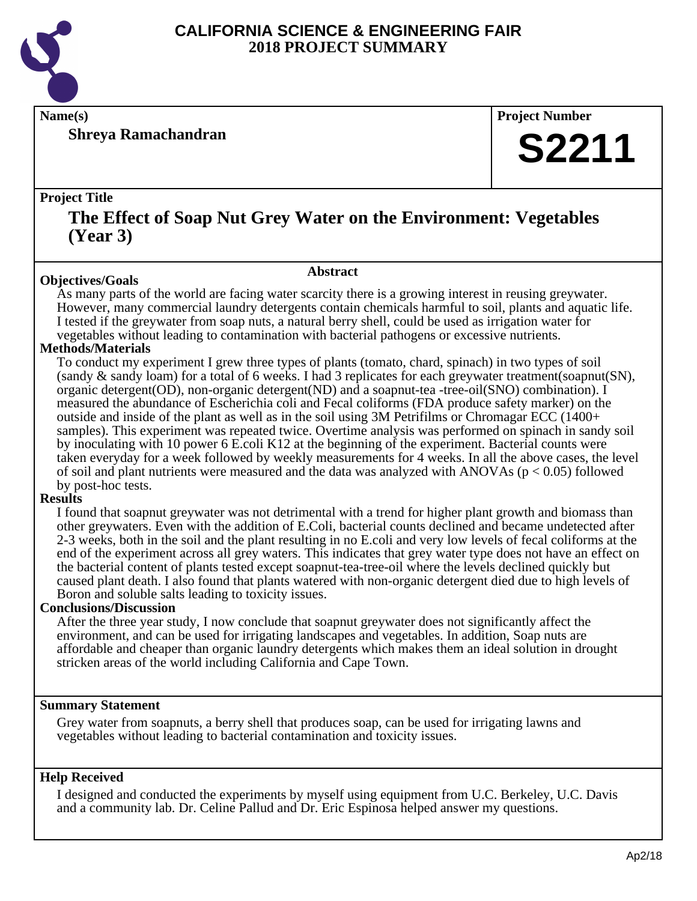

**Shreya Ramachandran**

**Name(s) Project Number**

# **S2211**

# **Project Title**

# **The Effect of Soap Nut Grey Water on the Environment: Vegetables (Year 3)**

## **Abstract**

**Objectives/Goals** As many parts of the world are facing water scarcity there is a growing interest in reusing greywater. However, many commercial laundry detergents contain chemicals harmful to soil, plants and aquatic life. I tested if the greywater from soap nuts, a natural berry shell, could be used as irrigation water for vegetables without leading to contamination with bacterial pathogens or excessive nutrients.

# **Methods/Materials**

To conduct my experiment I grew three types of plants (tomato, chard, spinach) in two types of soil (sandy & sandy loam) for a total of 6 weeks. I had 3 replicates for each greywater treatment(soapnut(SN), organic detergent(OD), non-organic detergent(ND) and a soapnut-tea -tree-oil(SNO) combination). I measured the abundance of Escherichia coli and Fecal coliforms (FDA produce safety marker) on the outside and inside of the plant as well as in the soil using  $3M$  Petrifilms or Chromagar ECC (1400+ samples). This experiment was repeated twice. Overtime analysis was performed on spinach in sandy soil by inoculating with 10 power 6 E.coli K12 at the beginning of the experiment. Bacterial counts were taken everyday for a week followed by weekly measurements for 4 weeks. In all the above cases, the level of soil and plant nutrients were measured and the data was analyzed with ANOVAs ( $p < 0.05$ ) followed by post-hoc tests.

# **Results**

I found that soapnut greywater was not detrimental with a trend for higher plant growth and biomass than other greywaters. Even with the addition of E.Coli, bacterial counts declined and became undetected after 2-3 weeks, both in the soil and the plant resulting in no E.coli and very low levels of fecal coliforms at the end of the experiment across all grey waters. This indicates that grey water type does not have an effect on the bacterial content of plants tested except soapnut-tea-tree-oil where the levels declined quickly but caused plant death. I also found that plants watered with non-organic detergent died due to high levels of Boron and soluble salts leading to toxicity issues.

# **Conclusions/Discussion**

After the three year study, I now conclude that soapnut greywater does not significantly affect the environment, and can be used for irrigating landscapes and vegetables. In addition, Soap nuts are affordable and cheaper than organic laundry detergents which makes them an ideal solution in drought stricken areas of the world including California and Cape Town.

# **Summary Statement**

Grey water from soapnuts, a berry shell that produces soap, can be used for irrigating lawns and vegetables without leading to bacterial contamination and toxicity issues.

# **Help Received**

I designed and conducted the experiments by myself using equipment from U.C. Berkeley, U.C. Davis and a community lab. Dr. Celine Pallud and Dr. Eric Espinosa helped answer my questions.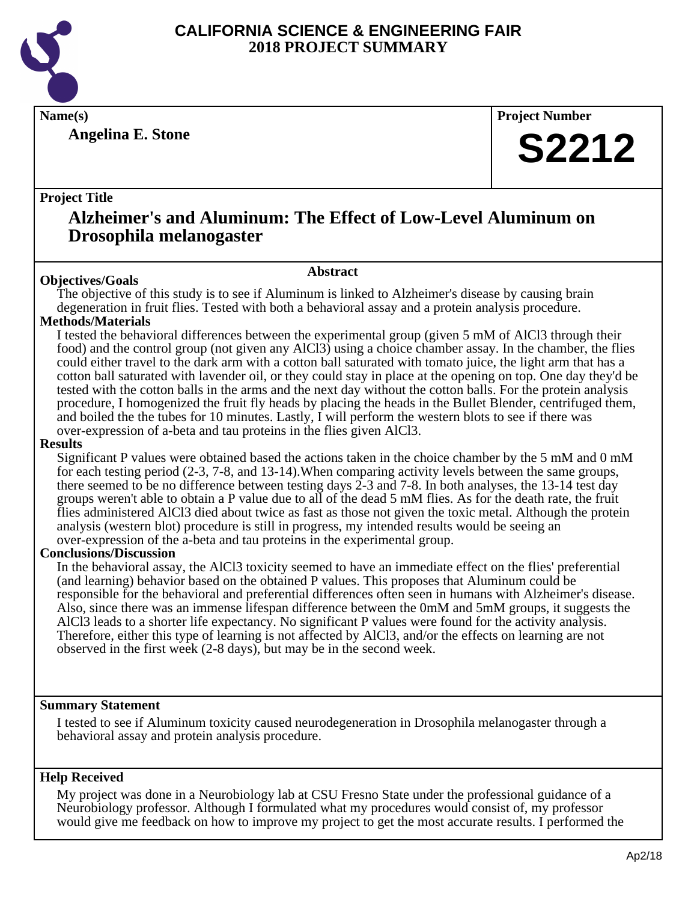

**Angelina E. Stone**

**Name(s) Project Number**

# **S2212**

# **Project Title**

# **Alzheimer's and Aluminum: The Effect of Low-Level Aluminum on Drosophila melanogaster**

# **Abstract**

**Objectives/Goals** The objective of this study is to see if Aluminum is linked to Alzheimer's disease by causing brain degeneration in fruit flies. Tested with both a behavioral assay and a protein analysis procedure.

# **Methods/Materials**

I tested the behavioral differences between the experimental group (given 5 mM of AlCl3 through their food) and the control group (not given any AlCl3) using a choice chamber assay. In the chamber, the flies could either travel to the dark arm with a cotton ball saturated with tomato juice, the light arm that has a cotton ball saturated with lavender oil, or they could stay in place at the opening on top. One day they'd be tested with the cotton balls in the arms and the next day without the cotton balls. For the protein analysis procedure, I homogenized the fruit fly heads by placing the heads in the Bullet Blender, centrifuged them, and boiled the the tubes for 10 minutes. Lastly, I will perform the western blots to see if there was over-expression of a-beta and tau proteins in the flies given AlCl3.

## **Results**

Significant P values were obtained based the actions taken in the choice chamber by the 5 mM and 0 mM for each testing period (2-3, 7-8, and 13-14).When comparing activity levels between the same groups, there seemed to be no difference between testing days 2-3 and 7-8. In both analyses, the 13-14 test day groups weren't able to obtain a P value due to all of the dead 5 mM flies. As for the death rate, the fruit flies administered AlCl3 died about twice as fast as those not given the toxic metal. Although the protein analysis (western blot) procedure is still in progress, my intended results would be seeing an over-expression of the a-beta and tau proteins in the experimental group.

## **Conclusions/Discussion**

In the behavioral assay, the AlCl3 toxicity seemed to have an immediate effect on the flies' preferential (and learning) behavior based on the obtained P values. This proposes that Aluminum could be responsible for the behavioral and preferential differences often seen in humans with Alzheimer's disease. Also, since there was an immense lifespan difference between the 0mM and 5mM groups, it suggests the AlCl3 leads to a shorter life expectancy. No significant P values were found for the activity analysis. Therefore, either this type of learning is not affected by AlCl3, and/or the effects on learning are not observed in the first week (2-8 days), but may be in the second week.

## **Summary Statement**

I tested to see if Aluminum toxicity caused neurodegeneration in Drosophila melanogaster through a behavioral assay and protein analysis procedure.

# **Help Received**

My project was done in a Neurobiology lab at CSU Fresno State under the professional guidance of a Neurobiology professor. Although I formulated what my procedures would consist of, my professor would give me feedback on how to improve my project to get the most accurate results. I performed the